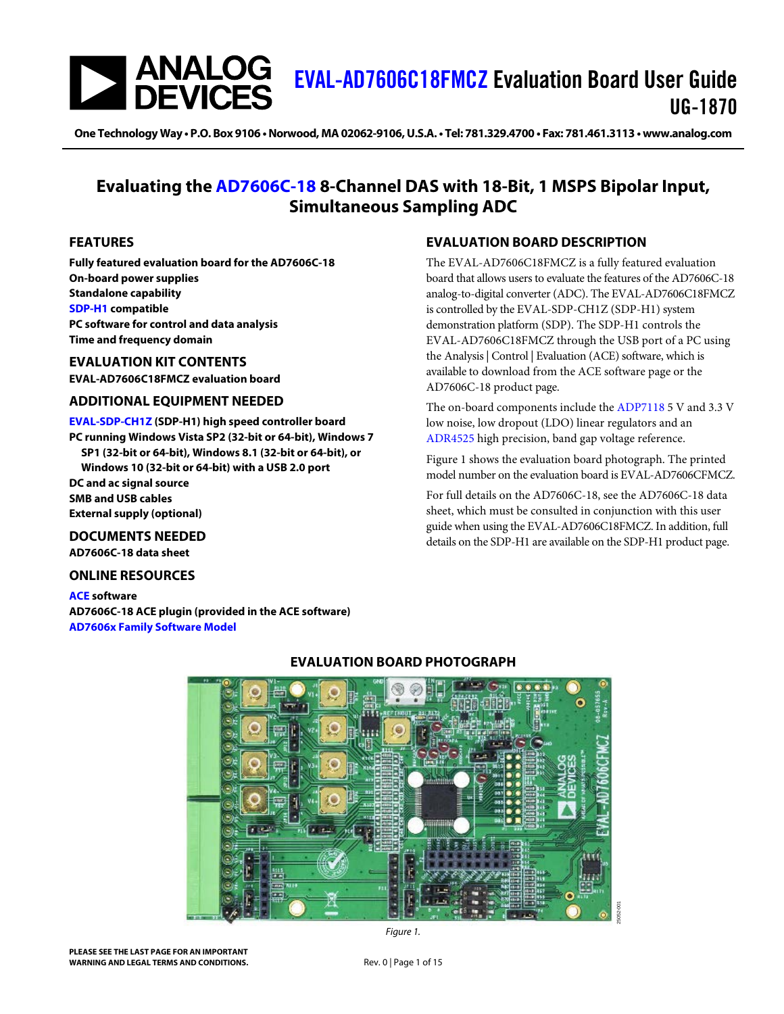# | ANALOG<br>| DEVICES [EVAL-AD7606C18FMCZ](https://www.analog.com/EVAL-AD7606C-18?doc=EVAL-AD7606C18FMCZ-UG-1870.pdf) Evaluation Board User Guide UG-1870

**One Technology Way • P.O. Box 9106 •Norwood, MA02062-9106,U.S.A.• Tel: 781.329.4700 • Fax: 781.461.3113 •www.analog.com**

# **Evaluating the [AD7606C-18](https://www.analog.com/AD7606C-18?doc=EVAL-AD7606C18FMCZ-ug-1870.pdf) 8-Channel DAS with 18-Bit, 1 MSPS Bipolar Input, Simultaneous Sampling ADC**

## <span id="page-0-1"></span>**FEATURES**

**Fully featured evaluation board for the AD7606C-18 On-board power supplies Standalone capability [SDP-H1](https://www.analog.com/sdp-h1?doc=EVAL-AD7606C18FMCZ-ug-1870.pdf) compatible PC software for control and data analysis Time and frequency domain**

## <span id="page-0-2"></span>**EVALUATION KIT CONTENTS EVAL-AD7606C18FMCZ evaluation board**

### <span id="page-0-3"></span>**ADDITIONAL EQUIPMENT NEEDED**

**[EVAL-SDP-CH1Z](https://www.analog.com/sdp-h1?doc=EVAL-AD7606C18FMCZ-ug-1870.pdf) (SDP-H1) high speed controller board PC running Windows Vista SP2 (32-bit or 64-bit), Windows 7 SP1 (32-bit or 64-bit), Windows 8.1 (32-bit or 64-bit), or Windows 10 (32-bit or 64-bit) with a USB 2.0 port DC and ac signal source SMB and USB cables External supply (optional)**

<span id="page-0-4"></span>**DOCUMENTS NEEDED AD7606C-18 data sheet**

### <span id="page-0-5"></span>**ONLINE RESOURCES**

<span id="page-0-7"></span>**[ACE](https://www.analog.com/ace?doc=EVAL-AD7606C18FMCZ-ug-1870.pdf) software AD7606C-18 ACE plugin (provided in the ACE software) [AD7606x Family Software Model](https://www.analog.com/en/products/ad7606C-18.html#product-tools)**

# <span id="page-0-6"></span>**EVALUATION BOARD DESCRIPTION**

The EVAL-AD7606C18FMCZ is a fully featured evaluation board that allows users to evaluate the features of the AD7606C-18 analog-to-digital converter (ADC). The EVAL-AD7606C18FMCZ is controlled by the EVAL-SDP-CH1Z (SDP-H1) system demonstration platform (SDP). The SDP-H1 controls the EVAL-AD7606C18FMCZ through the USB port of a PC using the Analysis | Control | Evaluation (ACE) software, which is available to download from the ACE software page or the AD7606C-18 product page.

The on-board components include the [ADP7118](https://www.analog.com/ADP7118?doc=EVAL-AD7606C18FMCZ-ug-1870.pdf) 5 V and 3.3 V low noise, low dropout (LDO) linear regulators and an [ADR4525](https://www.analog.com/adr4525?doc=EVAL-AD7606C18FMCZ-ug-1870.pdf) high precision, band gap voltage reference.

[Figure 1](#page-0-0) shows the evaluation board photograph. The printed model number on the evaluation board is EVAL-AD7606CFMCZ.

For full details on the AD7606C-18, see the AD7606C-18 data sheet, which must be consulted in conjunction with this user guide when using the EVAL-AD7606C18FMCZ. In addition, full details on the SDP-H1 are available on the SDP-H1 product page.



# **EVALUATION BOARD PHOTOGRAPH**

<span id="page-0-0"></span>**PLEASE SEE THE LAST PAGE FOR AN IMPORTANT WARNING AND LEGAL TERMS AND CONDITIONS.** Rev. 0 | Page 1 of 15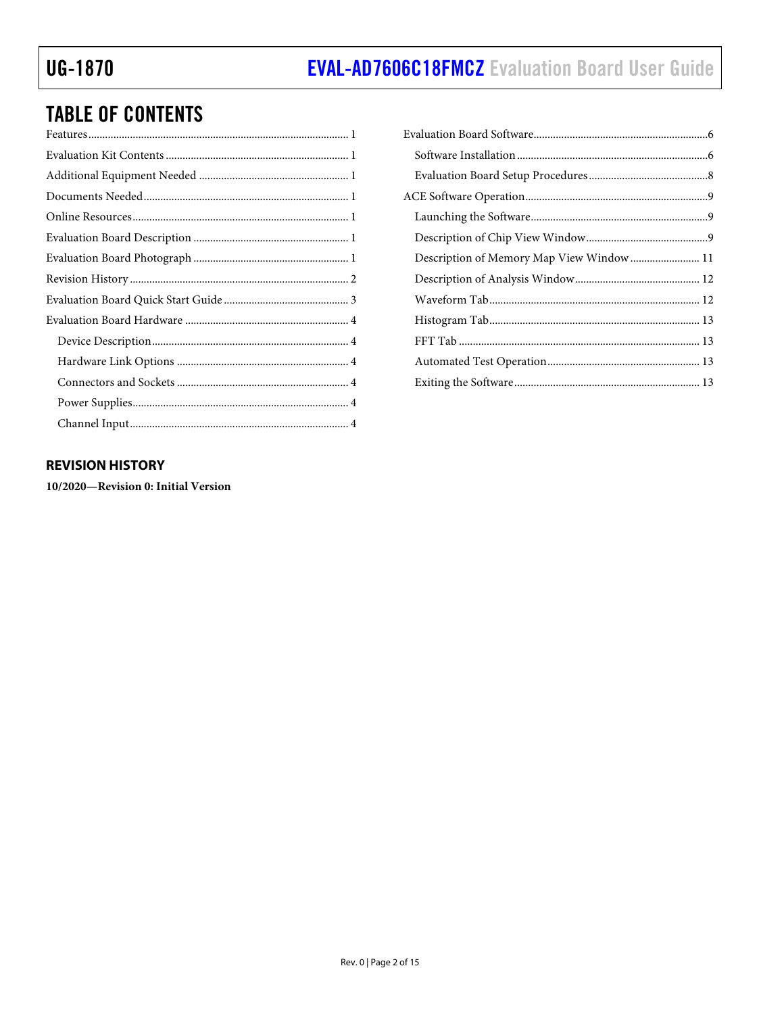# **TABLE OF CONTENTS**

# <span id="page-1-0"></span>**REVISION HISTORY**

10/2020-Revision 0: Initial Version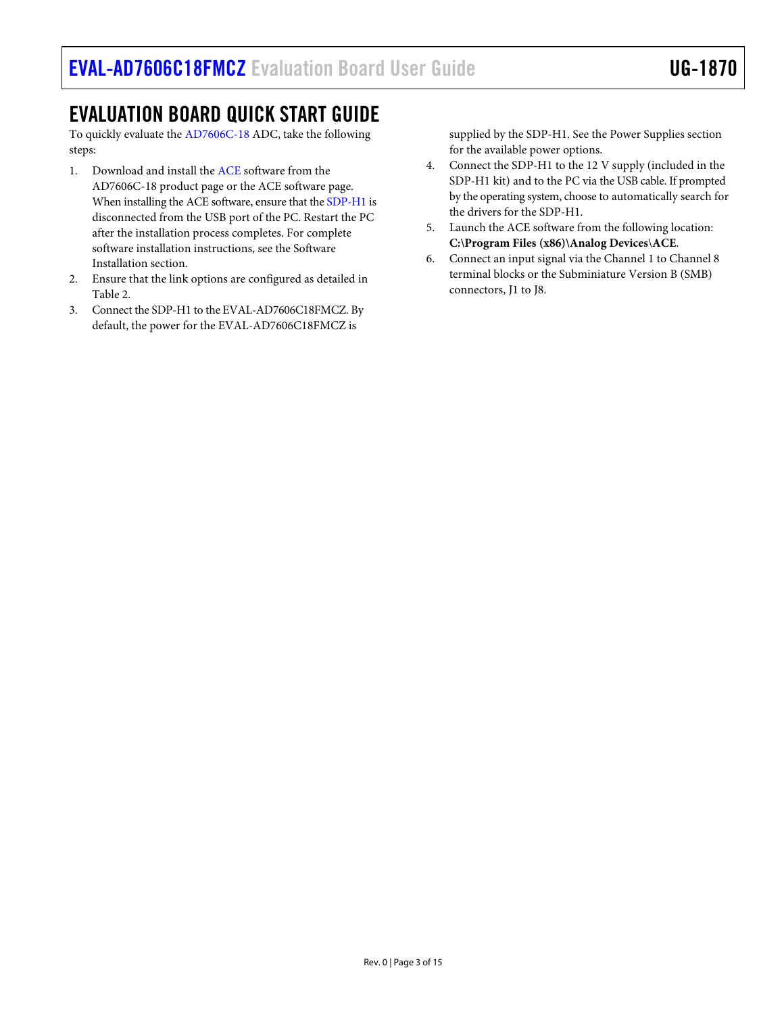# <span id="page-2-0"></span>EVALUATION BOARD QUICK START GUIDE

To quickly evaluate the [AD7606C-18](https://www.analog.com/AD7606C-18?doc=EVAL-AD7606C18FMCZ-ug-1870.pdf) ADC, take the following steps:

- 1. Download and install the [ACE](https://www.analog.com/ace?doc=EVAL-AD7606C18FMCZ-ug-1870.pdf) software from the AD7606C-18 product page or the ACE software page. When installing the ACE software, ensure that th[e SDP-H1](https://www.analog.com/sdp-h1?doc=EVAL-AD7606C18FMCZ-ug-1870.pdf) is disconnected from the USB port of the PC. Restart the PC after the installation process completes. For complete software installation instructions, see the Software Installation section.
- 2. Ensure that the link options are configured as detailed in [Table](#page-3-6) 2.
- 3. Connect the SDP-H1 to the EVAL-AD7606C18FMCZ. By default, the power for the EVAL-AD7606C18FMCZ is

supplied by the SDP-H1. See the [Power Supplies](#page-3-4) section for the available power options.

- 4. Connect the SDP-H1 to the 12 V supply (included in the SDP-H1 kit) and to the PC via the USB cable. If prompted by the operating system, choose to automatically search for the drivers for the SDP-H1.
- 5. Launch the ACE software from the following location: **C:\Program Files (x86)\Analog Devices**\**ACE**.
- 6. Connect an input signal via the Channel 1 to Channel 8 terminal blocks or the Subminiature Version B (SMB) connectors, J1 to J8.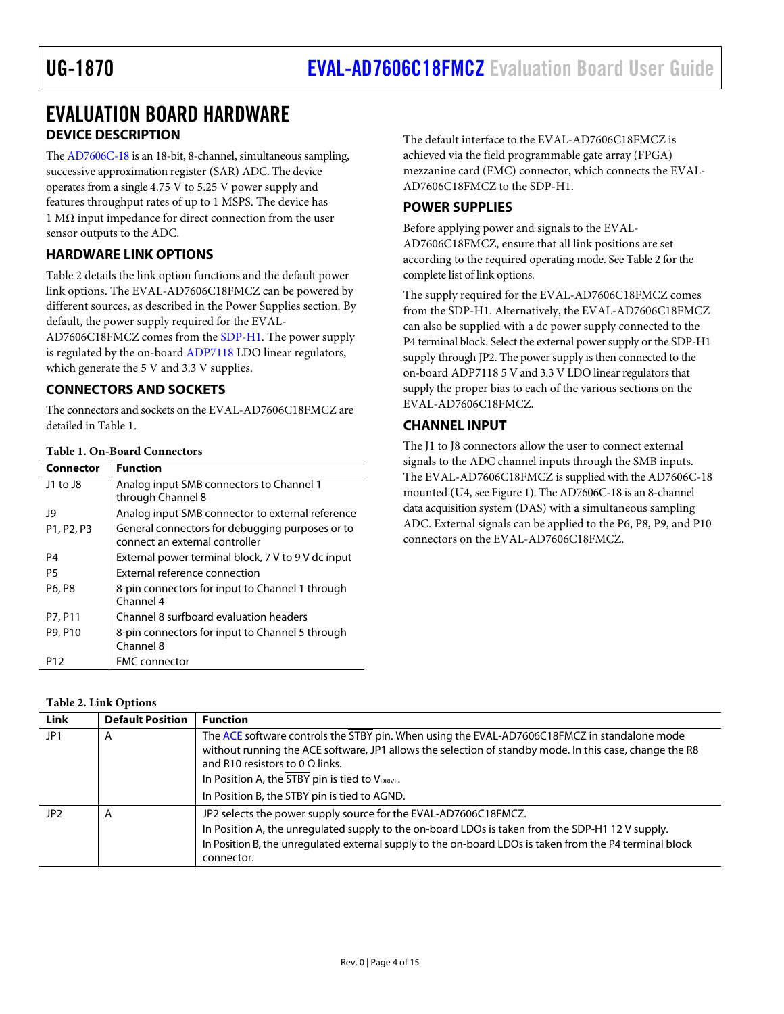# <span id="page-3-0"></span>EVALUATION BOARD HARDWARE **DEVICE DESCRIPTION**

<span id="page-3-1"></span>Th[e AD7606C-18](https://www.analog.com/AD7606C-18?doc=EVAL-AD7606C18FMCZ-ug-1870.pdf) is an 18-bit, 8-channel, simultaneous sampling, successive approximation register (SAR) ADC. The device operates from a single 4.75 V to 5.25 V power supply and features throughput rates of up to 1 MSPS. The device has 1 MΩ input impedance for direct connection from the user sensor outputs to the ADC.

# <span id="page-3-2"></span>**HARDWARE LINK OPTIONS**

[Table](#page-3-6) 2 details the link option functions and the default power link options. The EVAL-AD7606C18FMCZ can be powered by different sources, as described in the [Power Supplies](#page-3-4) section. By default, the power supply required for the EVAL-

AD7606C18FMCZ comes from th[e SDP-H1.](https://www.analog.com/sdp-h1?doc=EVAL-AD7606C18FMCZ-ug-1870.pdf) The power supply is regulated by the on-boar[d ADP7118](https://www.analog.com/ADP7118?doc=EVAL-AD7606C18FMCZ-ug-1870.pdf) LDO linear regulators, which generate the 5 V and 3.3 V supplies.

## <span id="page-3-3"></span>**CONNECTORS AND SOCKETS**

The connectors and sockets on the EVAL-AD7606C18FMCZ are detailed i[n Table 1.](#page-3-7)

### <span id="page-3-7"></span>**Table 1. On-Board Connectors**

| Connector  | <b>Function</b>                                    |
|------------|----------------------------------------------------|
| J1 to J8   | Analog input SMB connectors to Channel 1           |
|            | through Channel 8                                  |
| 19         | Analog input SMB connector to external reference   |
| P1, P2, P3 | General connectors for debugging purposes or to    |
|            | connect an external controller                     |
| P4         | External power terminal block, 7 V to 9 V dc input |
| P5         | External reference connection                      |
| P6, P8     | 8-pin connectors for input to Channel 1 through    |
|            | Channel 4                                          |
| P7, P11    | Channel 8 surfboard evaluation headers             |
| P9, P10    | 8-pin connectors for input to Channel 5 through    |
|            | Channel 8                                          |
| P12        | <b>FMC</b> connector                               |

### <span id="page-3-6"></span>**Table 2. Link Options**

| Link | <b>Default Position</b> | <b>Function</b>                                                                                                                                                                                                                                   |
|------|-------------------------|---------------------------------------------------------------------------------------------------------------------------------------------------------------------------------------------------------------------------------------------------|
| JP 1 | A                       | The ACE software controls the STBY pin. When using the EVAL-AD7606C18FMCZ in standalone mode<br>without running the ACE software, JP1 allows the selection of standby mode. In this case, change the R8<br>and R10 resistors to 0 $\Omega$ links. |
|      |                         | In Position A, the STBY pin is tied to V <sub>DRIVE</sub> .                                                                                                                                                                                       |
|      |                         | In Position B, the STBY pin is tied to AGND.                                                                                                                                                                                                      |
| JP2  | A                       | JP2 selects the power supply source for the EVAL-AD7606C18FMCZ.                                                                                                                                                                                   |
|      |                         | In Position A, the unregulated supply to the on-board LDOs is taken from the SDP-H1 12 V supply.                                                                                                                                                  |
|      |                         | In Position B, the unregulated external supply to the on-board LDOs is taken from the P4 terminal block<br>connector.                                                                                                                             |

The default interface to the EVAL-AD7606C18FMCZ is achieved via the field programmable gate array (FPGA) mezzanine card (FMC) connector, which connects the EVAL-AD7606C18FMCZ to the SDP-H1.

## <span id="page-3-4"></span>**POWER SUPPLIES**

Before applying power and signals to the EVAL-AD7606C18FMCZ, ensure that all link positions are set according to the required operating mode. Se[e Table](#page-3-6) 2 for the complete list of link options.

The supply required for the EVAL-AD7606C18FMCZ comes from the SDP-H1. Alternatively, the EVAL-AD7606C18FMCZ can also be supplied with a dc power supply connected to the P4 terminal block. Select the external power supply or the SDP-H1 supply through JP2. The power supply is then connected to the on-board ADP7118 5 V and 3.3 V LDO linear regulators that supply the proper bias to each of the various sections on the EVAL-AD7606C18FMCZ.

# <span id="page-3-5"></span>**CHANNEL INPUT**

The J1 to J8 connectors allow the user to connect external signals to the ADC channel inputs through the SMB inputs. The EVAL-AD7606C18FMCZ is supplied with the AD7606C-18 mounted (U4, see [Figure 1\)](#page-0-0). The AD7606C-18 is an 8-channel data acquisition system (DAS) with a simultaneous sampling ADC. External signals can be applied to the P6, P8, P9, and P10 connectors on the EVAL-AD7606C18FMCZ.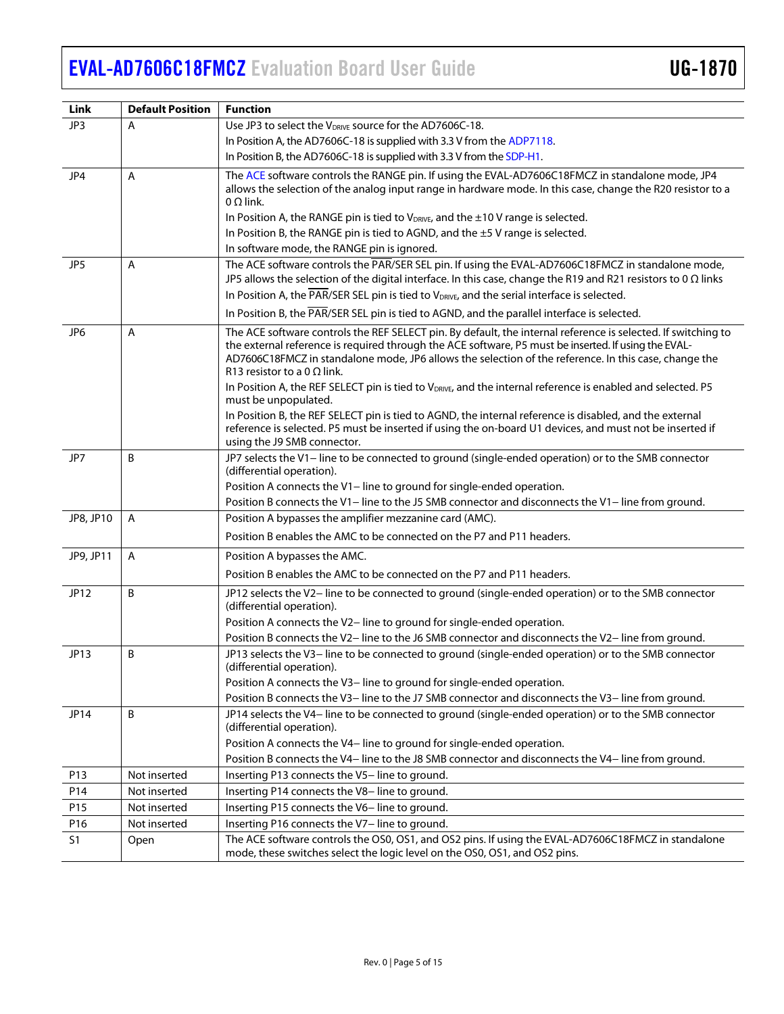| Link            | <b>Default Position</b> | <b>Function</b>                                                                                                                                                                                               |
|-----------------|-------------------------|---------------------------------------------------------------------------------------------------------------------------------------------------------------------------------------------------------------|
| JP3             | Α                       | Use JP3 to select the V <sub>DRIVE</sub> source for the AD7606C-18.                                                                                                                                           |
|                 |                         | In Position A, the AD7606C-18 is supplied with 3.3 V from the ADP7118.                                                                                                                                        |
|                 |                         | In Position B, the AD7606C-18 is supplied with 3.3 V from the SDP-H1.                                                                                                                                         |
| JP4             | A                       | The ACE software controls the RANGE pin. If using the EVAL-AD7606C18FMCZ in standalone mode, JP4                                                                                                              |
|                 |                         | allows the selection of the analog input range in hardware mode. In this case, change the R20 resistor to a                                                                                                   |
|                 |                         | $0 \Omega$ link.                                                                                                                                                                                              |
|                 |                         | In Position A, the RANGE pin is tied to $V_{DRIVE}$ , and the $\pm 10$ V range is selected.                                                                                                                   |
|                 |                         | In Position B, the RANGE pin is tied to AGND, and the ±5 V range is selected.                                                                                                                                 |
|                 |                         | In software mode, the RANGE pin is ignored.                                                                                                                                                                   |
| JP <sub>5</sub> | $\overline{A}$          | The ACE software controls the PAR/SER SEL pin. If using the EVAL-AD7606C18FMCZ in standalone mode,                                                                                                            |
|                 |                         | JP5 allows the selection of the digital interface. In this case, change the R19 and R21 resistors to 0 $\Omega$ links                                                                                         |
|                 |                         | In Position A, the PAR/SER SEL pin is tied to VDRIVE, and the serial interface is selected.                                                                                                                   |
|                 |                         | In Position B, the PAR/SER SEL pin is tied to AGND, and the parallel interface is selected.                                                                                                                   |
| JP6             | Α                       | The ACE software controls the REF SELECT pin. By default, the internal reference is selected. If switching to                                                                                                 |
|                 |                         | the external reference is required through the ACE software, P5 must be inserted. If using the EVAL-<br>AD7606C18FMCZ in standalone mode, JP6 allows the selection of the reference. In this case, change the |
|                 |                         | R13 resistor to a 0 $\Omega$ link.                                                                                                                                                                            |
|                 |                         | In Position A, the REF SELECT pin is tied to V <sub>DRIVE</sub> , and the internal reference is enabled and selected. P5                                                                                      |
|                 |                         | must be unpopulated.                                                                                                                                                                                          |
|                 |                         | In Position B, the REF SELECT pin is tied to AGND, the internal reference is disabled, and the external                                                                                                       |
|                 |                         | reference is selected. P5 must be inserted if using the on-board U1 devices, and must not be inserted if<br>using the J9 SMB connector.                                                                       |
| JP7             | B                       | JP7 selects the V1- line to be connected to ground (single-ended operation) or to the SMB connector                                                                                                           |
|                 |                         | (differential operation).                                                                                                                                                                                     |
|                 |                         | Position A connects the V1-line to ground for single-ended operation.                                                                                                                                         |
|                 |                         | Position B connects the V1- line to the J5 SMB connector and disconnects the V1- line from ground.                                                                                                            |
| JP8, JP10       | $\overline{A}$          | Position A bypasses the amplifier mezzanine card (AMC).                                                                                                                                                       |
|                 |                         | Position B enables the AMC to be connected on the P7 and P11 headers.                                                                                                                                         |
| JP9, JP11       | $\mathsf{A}$            | Position A bypasses the AMC.                                                                                                                                                                                  |
|                 |                         | Position B enables the AMC to be connected on the P7 and P11 headers.                                                                                                                                         |
| JP12            | B                       | JP12 selects the V2- line to be connected to ground (single-ended operation) or to the SMB connector                                                                                                          |
|                 |                         | (differential operation).                                                                                                                                                                                     |
|                 |                         | Position A connects the V2-line to ground for single-ended operation.                                                                                                                                         |
|                 |                         | Position B connects the V2- line to the J6 SMB connector and disconnects the V2- line from ground.                                                                                                            |
| JP13            | B                       | JP13 selects the V3- line to be connected to ground (single-ended operation) or to the SMB connector<br>(differential operation).                                                                             |
|                 |                         | Position A connects the V3-line to ground for single-ended operation.                                                                                                                                         |
|                 |                         | Position B connects the V3- line to the J7 SMB connector and disconnects the V3- line from ground.                                                                                                            |
| JP14            | B                       | JP14 selects the V4- line to be connected to ground (single-ended operation) or to the SMB connector                                                                                                          |
|                 |                         | (differential operation).                                                                                                                                                                                     |
|                 |                         | Position A connects the V4- line to ground for single-ended operation.                                                                                                                                        |
|                 |                         | Position B connects the V4- line to the J8 SMB connector and disconnects the V4- line from ground.                                                                                                            |
| P13             | Not inserted            | Inserting P13 connects the V5-line to ground.                                                                                                                                                                 |
| P14             | Not inserted            | Inserting P14 connects the V8-line to ground.                                                                                                                                                                 |
| P15             | Not inserted            | Inserting P15 connects the V6- line to ground.                                                                                                                                                                |
| P16             | Not inserted            | Inserting P16 connects the V7-line to ground.                                                                                                                                                                 |
| S <sub>1</sub>  | Open                    | The ACE software controls the OS0, OS1, and OS2 pins. If using the EVAL-AD7606C18FMCZ in standalone<br>mode, these switches select the logic level on the OS0, OS1, and OS2 pins.                             |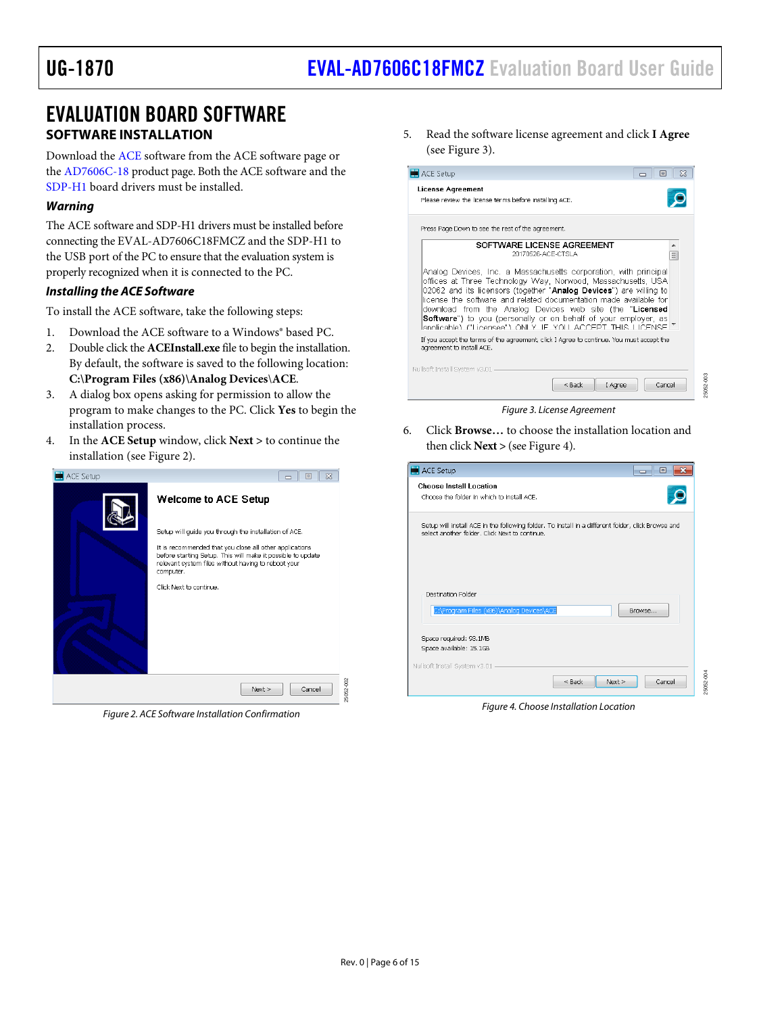# <span id="page-5-1"></span><span id="page-5-0"></span>EVALUATION BOARD SOFTWARE **SOFTWARE INSTALLATION**

Download th[e ACE](https://www.analog.com/ace?doc=EVAL-AD7606C18FMCZ-ug-1870.pdf) software from the ACE software page or the [AD7606C-18](https://www.analog.com/AD7606C-18?doc=EVAL-AD7606C18FMCZ-ug-1870.pdf) product page. Both the ACE software and the [SDP-H1](https://www.analog.com/sdp-h1?doc=EVAL-AD7606C18FMCZ-ug-1870.pdf) board drivers must be installed.

## *Warning*

Th[e ACE](https://www.analog.com/ace?doc=EVAL-AD7606CFMCZ-ug-1870.pdf) software and SDP-H1 drivers must be installed before connecting the EVAL-AD7606C18FMCZ and the SDP-H1 to the USB port of the PC to ensure that the evaluation system is properly recognized when it is connected to the PC.

## *Installing the ACE Software*

To install the ACE software, take the following steps:

- 1. Download the ACE software to a Windows® based PC.
- 2. Double click the **ACEInstall.exe** file to begin the installation. By default, the software is saved to the following location: **C:\Program Files (x86)\Analog Devices**\**ACE**.
- 3. A dialog box opens asking for permission to allow the program to make changes to the PC. Click **Yes** to begin the installation process.
- 4. In the **ACE Setup** window, click **Next >** to continue the installation (see [Figure 2\)](#page-5-2).

<span id="page-5-2"></span>

*Figure 2. ACE Software Installation Confirmation*

5. Read the software license agreement and click **I Agree** (see [Figure 3\)](#page-5-3).



<span id="page-5-3"></span>6. Click **Browse…** to choose the installation location and then click **Next >** (se[e Figure 4\)](#page-5-4).

| ACE Setup                                                                                                                                            | ▣<br>-- |
|------------------------------------------------------------------------------------------------------------------------------------------------------|---------|
| <b>Choose Install Location</b>                                                                                                                       |         |
| Choose the folder in which to install ACE.                                                                                                           |         |
| Setup will install ACE in the following folder. To install in a different folder, click Browse and<br>select another folder. Click Next to continue. |         |
| <b>Destination Enlder</b><br>C:\Program Files (x86)\Analog Devices\ACE                                                                               | Browse  |
| Space required: 93.1MB                                                                                                                               |         |
| Space available: 15.1GB                                                                                                                              |         |
| Nullsoft Install System v3.01 -<br>$<$ Back<br>Next                                                                                                  | Cancel  |
|                                                                                                                                                      |         |

<span id="page-5-4"></span>*Figure 4. Choose Installation Location*

25052-004

25052-004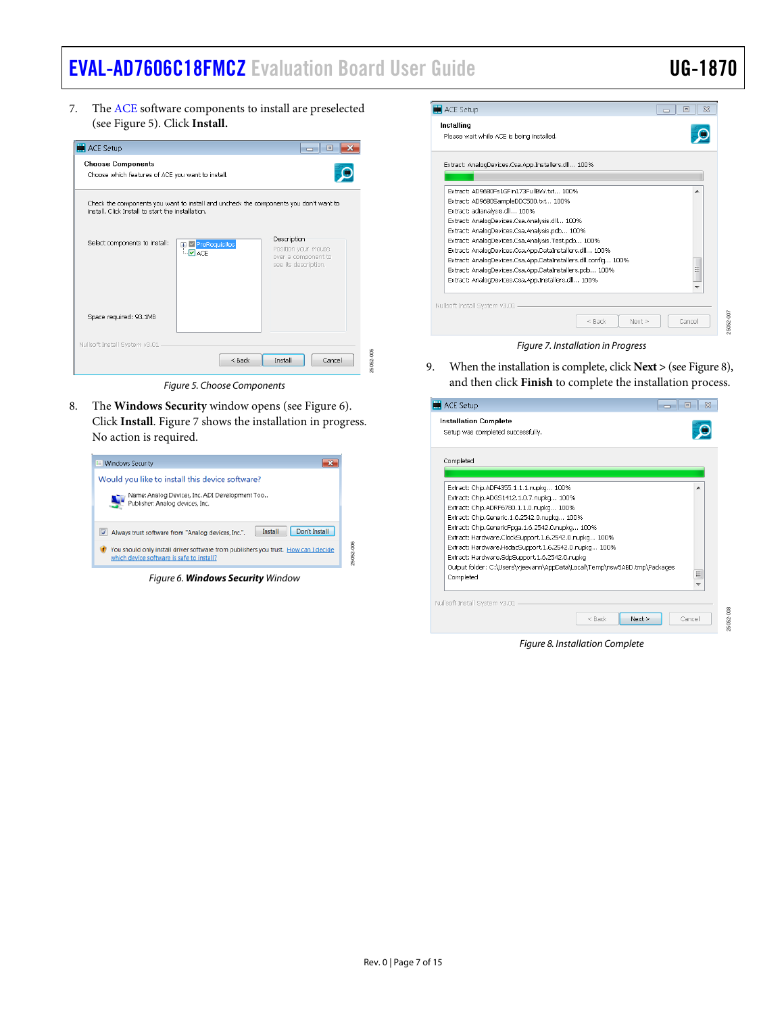25052-008

7. The [ACE](https://www.analog.com/ace?doc=EVAL-AD7606C18FMCZ-ug-1870.pdf) software components to install are preselected (see [Figure 5\)](#page-6-0). Click **Install.**



*Figure 5. Choose Components*

<span id="page-6-0"></span>8. The **Windows Security** window opens (see [Figure 6\)](#page-6-1). Click **Install**. [Figure 7](#page-6-2) shows the installation in progress. No action is required.

<span id="page-6-1"></span>

*Figure 6. Windows Security Window*

| <b>ACE Setup</b>                                              | o      |
|---------------------------------------------------------------|--------|
| Installing                                                    |        |
| Please wait while ACE is being installed.                     |        |
|                                                               |        |
| Extract: AnalogDevices.Csa.App.Installers.dll 100%            |        |
|                                                               |        |
| Extract: AD9680Es1GEin173EuİlBW.txt 100%                      | ▴      |
| Extract: AD9680SampleDDC500.txt 100%                          |        |
| Extract: adianalysis.dll 100%                                 |        |
| Extract: AnalogDevices.Csa.Analysis.dll 100%                  |        |
| Extract: AnalogDevices.Csa.Analysis.pdb 100%                  |        |
| Extract: AnalogDevices.Csa.Analysis.Test.pdb 100%             |        |
| Extract: AnalogDevices.Csa.App.DataInstallers.dll 100%        |        |
| Extract: AnalogDevices.Csa.App.DataInstallers.dll.config 100% |        |
| Extract: AnalogDevices.Csa.App.DataInstallers.pdb 100%        | E      |
| Extract: AnalogDevices.Csa.App.Installers.dll 100%            |        |
|                                                               | ÷      |
| Nullsoft Install System v3.01                                 |        |
| $<$ Back<br>Next >                                            | Cancel |
| Figure 7. Installation in Progress                            |        |

<span id="page-6-2"></span>9. When the installation is complete, click **Next >** (se[e Figure 8\)](#page-6-3), and then click **Finish** to complete the installation process.

| ACE Setup                                                                | $\Box$              |
|--------------------------------------------------------------------------|---------------------|
| <b>Installation Complete</b>                                             |                     |
| Setup was completed successfully.                                        |                     |
| Completed                                                                |                     |
|                                                                          |                     |
| Extract: Chip.ADF4355.1.1.1.nupkg 100%                                   |                     |
| Extract: Chip.ADGS1412.1.0.7.nupkg 100%                                  |                     |
| Extract: Chip.ADRF6780.1.1.0.nupkg 100%                                  |                     |
| Extract: Chip.Generic.1.6.2542.0.nupkg 100%                              |                     |
| Extract: Chip.GenericFpga.1.6.2542.0.nupkg 100%                          |                     |
| Extract: Hardware.ClockSupport.1.6.2542.0.nupkg 100%                     |                     |
| Extract: Hardware.HsdacSupport.1.6.2542.0.nupkg 100%                     |                     |
| Extract: Hardware.SdpSupport.1.6.2542.0.nupkg                            |                     |
| Output folder: C:\Users\vieevann\AppData\Local\Temp\nsw5ABD.tmp\Packages |                     |
| Completed                                                                | Ξ                   |
|                                                                          | ٠                   |
| Nullsoft Install System v3.01                                            |                     |
|                                                                          |                     |
| $<$ Back<br>Next >                                                       | 25052-008<br>Cancel |
|                                                                          |                     |
| Figure 9 Installation Complete                                           |                     |

<span id="page-6-3"></span>*Figure 8. Installation Complete*

25052-005

25052-006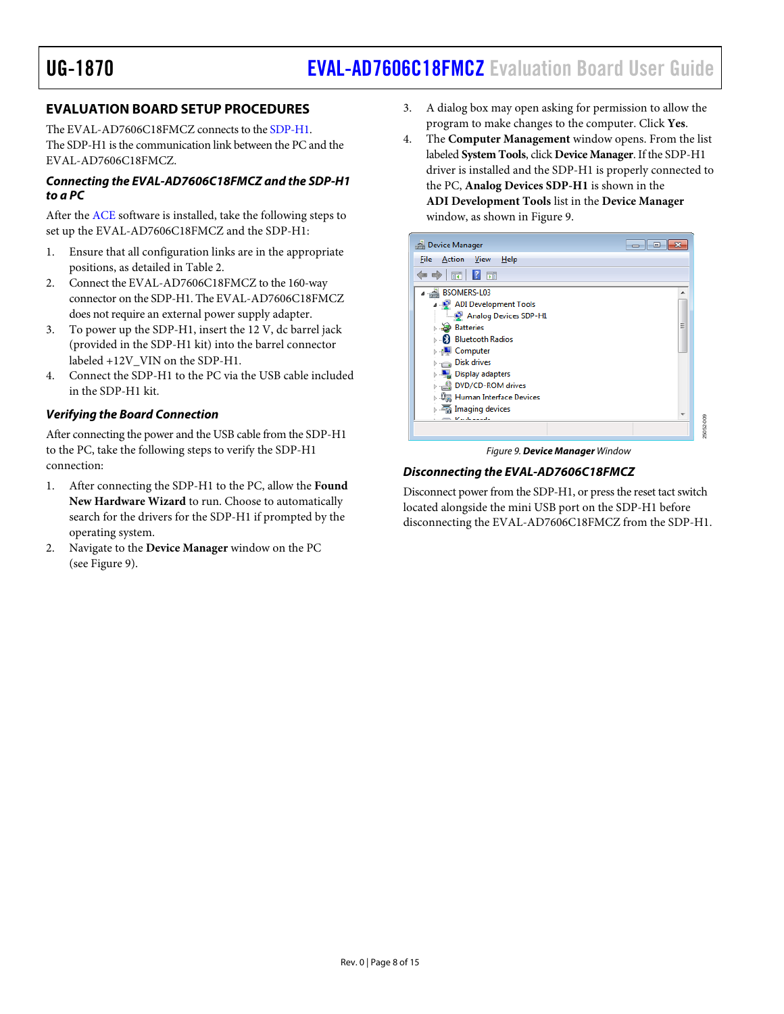# <span id="page-7-0"></span>**EVALUATION BOARD SETUP PROCEDURES**

The EVAL-AD7606C18FMCZ connects to th[e SDP-H1.](https://www.analog.com/sdp-h1?doc=EVAL-AD7606C18FMCZ-ug-1870.pdf)  The SDP-H1 is the communication link between the PC and the EVAL-AD7606C18FMCZ.

#### *Connecting the EVAL-AD7606C18FMCZ and the SDP-H1 to a PC*

After the [ACE](https://www.analog.com/ace?doc=EVAL-AD7606C18FMCZ-ug-1870.pdf) software is installed, take the following steps to set up the EVAL-AD7606C18FMCZ and the SDP-H1:

- 1. Ensure that all configuration links are in the appropriate positions, as detailed in [Table](#page-3-6) 2.
- 2. Connect the EVAL-AD7606C18FMCZ to the 160-way connector on the SDP-H1. The EVAL-AD7606C18FMCZ does not require an external power supply adapter.
- 3. To power up the SDP-H1, insert the 12 V, dc barrel jack (provided in the SDP-H1 kit) into the barrel connector labeled +12V\_VIN on the SDP-H1.
- 4. Connect the SDP-H1 to the PC via the USB cable included in the SDP-H1 kit.

### *Verifying the Board Connection*

After connecting the power and the USB cable from the SDP-H1 to the PC, take the following steps to verify the SDP-H1 connection:

- 1. After connecting the SDP-H1 to the PC, allow the **Found New Hardware Wizard** to run. Choose to automatically search for the drivers for the SDP-H1 if prompted by the operating system.
- 2. Navigate to the **Device Manager** window on the PC (see [Figure 9\)](#page-7-1).
- 3. A dialog box may open asking for permission to allow the program to make changes to the computer. Click **Yes**.
- 4. The **Computer Management** window opens. From the list labeled **System Tools**, click **Device Manager**. If the SDP-H1 driver is installed and the SDP-H1 is properly connected to the PC, **Analog Devices SDP-H1** is shown in the **ADI Development Tools** list in the **Device Manager** window, as shown in [Figure 9.](#page-7-1)

| <b>B</b> Device Manager               |                          |
|---------------------------------------|--------------------------|
| <b>View</b><br>Action<br>File<br>Help |                          |
| $\frac{1}{2}$                         |                          |
| BSOMERS-L03                           | ▲                        |
| ADI Development Tools                 |                          |
| Analog Devices SDP-H1                 |                          |
| <b>Batteries</b>                      | Ξ                        |
| <b>Bluetooth Radios</b>               |                          |
| <b>I</b> Computer                     |                          |
| <b>Disk drives</b>                    |                          |
| Display adapters                      |                          |
| DVD/CD-ROM drives                     |                          |
| Human Interface Devices               |                          |
| imaging devices                       |                          |
| March a shall                         | $\overline{\mathcal{N}}$ |

*Figure 9. Device Manager Window*

# <span id="page-7-1"></span>*Disconnecting the EVAL-AD7606C18FMCZ*

Disconnect power from the SDP-H1, or press the reset tact switch located alongside the mini USB port on the SDP-H1 before disconnecting the EVAL-AD7606C18FMCZ from the SDP-H1.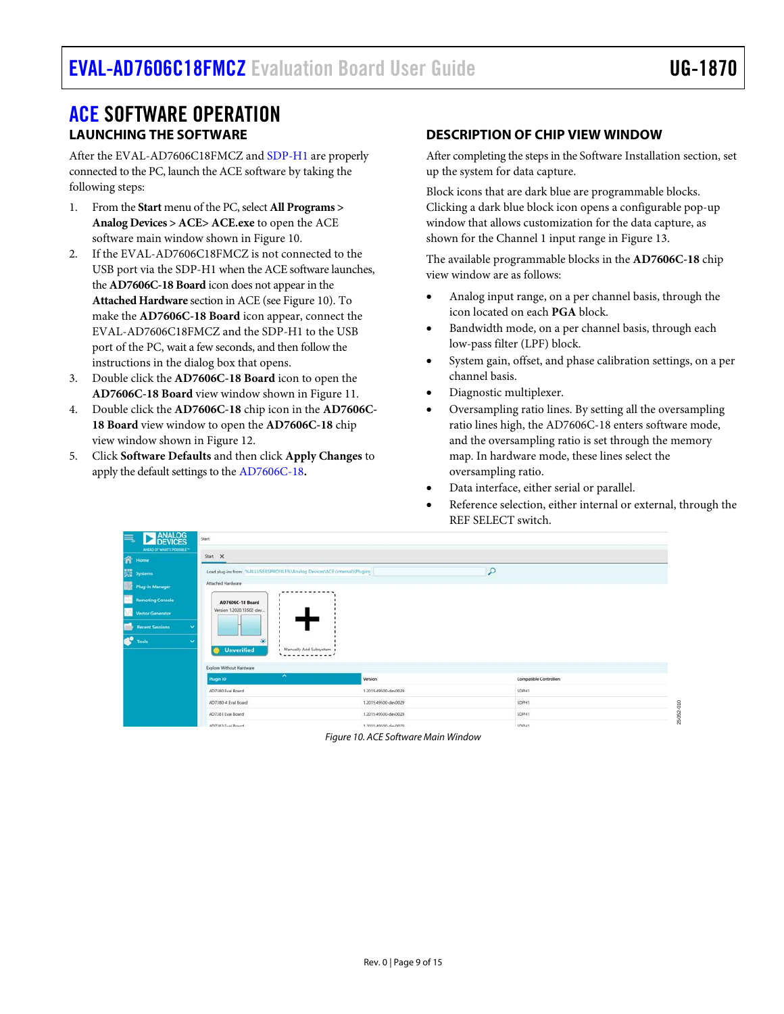# <span id="page-8-1"></span><span id="page-8-0"></span>[ACE](https://www.analog.com/ace?doc=EVAL-AD7606CFMCZ-ug-1870.pdf) SOFTWARE OPERATION **LAUNCHING THE SOFTWARE**

After the EVAL-AD7606C18FMCZ an[d SDP-H1](https://www.analog.com/sdp-h1?doc=EVAL-AD7606C18FMCZ-ug-1870.pdf) are properly connected to the PC, launch the ACE software by taking the following steps:

- 1. From the **Start** menu of the PC, select **All Programs > Analog Devices > ACE> ACE.exe** to open the ACE software main window shown i[n Figure 10.](#page-8-3)
- 2. If the EVAL-AD7606C18FMCZ is not connected to the USB port via the SDP-H1 when the ACE software launches, the **AD7606C-18 Board** icon does not appear in the **Attached Hardware** section in ACE (se[e Figure 10\)](#page-8-3). To make the **AD7606C-18 Board** icon appear, connect the EVAL-AD7606C18FMCZ and the SDP-H1 to the USB port of the PC, wait a few seconds, and then follow the instructions in the dialog box that opens.
- 3. Double click the **AD7606C-18 Board** icon to open the **AD7606C-18 Board** view window shown i[n Figure 11.](#page-9-0)
- 4. Double click the **AD7606C-18** chip icon in the **AD7606C-18 Board** view window to open the **AD7606C-18** chip view window shown i[n Figure 12.](#page-9-1)
- 5. Click **Software Defaults** and then click **Apply Changes** to apply the default settings to the [AD7606C-18](https://www.analog.com/AD7606C-18?doc=EVAL-AD7606C18FMCZ-ug-1870.pdf)**.**

# <span id="page-8-2"></span>**DESCRIPTION OF CHIP VIEW WINDOW**

After completing the steps in th[e Software Installation](#page-5-1) section, set up the system for data capture.

Block icons that are dark blue are programmable blocks. Clicking a dark blue block icon opens a configurable pop-up window that allows customization for the data capture, as shown for the Channel 1 input range in [Figure 13.](#page-10-1)

The available programmable blocks in the **AD7606C-18** chip view window are as follows:

- Analog input range, on a per channel basis, through the icon located on each **PGA** block.
- Bandwidth mode, on a per channel basis, through each low-pass filter (LPF) block.
- System gain, offset, and phase calibration settings, on a per channel basis.
- Diagnostic multiplexer.
- Oversampling ratio lines. By setting all the oversampling ratio lines high, the AD7606C-18 enters software mode, and the oversampling ratio is set through the memory map. In hardware mode, these lines select the oversampling ratio.
- Data interface, either serial or parallel.
- Reference selection, either internal or external, through the REF SELECT switch.

<span id="page-8-3"></span>

| ANALOG<br>巪<br>Þ                           | Start                                                                       |                      |                               |           |
|--------------------------------------------|-----------------------------------------------------------------------------|----------------------|-------------------------------|-----------|
| AREAD OF WHAT'S POSSIBLE™<br><b>n</b> Home | Start X                                                                     |                      |                               |           |
| <b>SOLE</b> Systems                        | Load plug-ins from: %ALLUSERSPROFILE%\Analog Devices\ACE (internal)\Plugins |                      | $\mathcal{L}$                 |           |
| Plug-in Manager                            | Attached Hardware                                                           |                      |                               |           |
| <b>Remoting Console</b>                    | AD7606C-18 Board                                                            |                      |                               |           |
| v<br>Vector Generator                      | Version 1,2020.13502-dev.                                                   |                      |                               |           |
| m.<br><b>Recent Sessions</b>               |                                                                             |                      |                               |           |
| <b>B</b> <sup>o</sup> Tools                | ₩<br><b>Unverified</b><br>Manually Add Subsystem 1                          |                      |                               |           |
|                                            | Explore Without Hardware                                                    |                      |                               |           |
|                                            | $\hat{\phantom{a}}$<br>Plugin ID                                            | Version              | <b>Compatible Controllers</b> |           |
|                                            | AD7380 Eval Board                                                           | 1,2019.49500-dev0029 | SDPH1                         |           |
|                                            | AD7380-4 Eval Board                                                         | 1,2019.49500-dev0029 | SDPH1                         |           |
|                                            | AD7381 Eval Board                                                           | 1,2019.49500-dev0029 | SDPH1                         | 25052-010 |
|                                            | AD7383 Fual Roard                                                           | 1.2019.49500-dev0029 | SOPH1                         |           |

*Figure 10. ACE Software Main Window*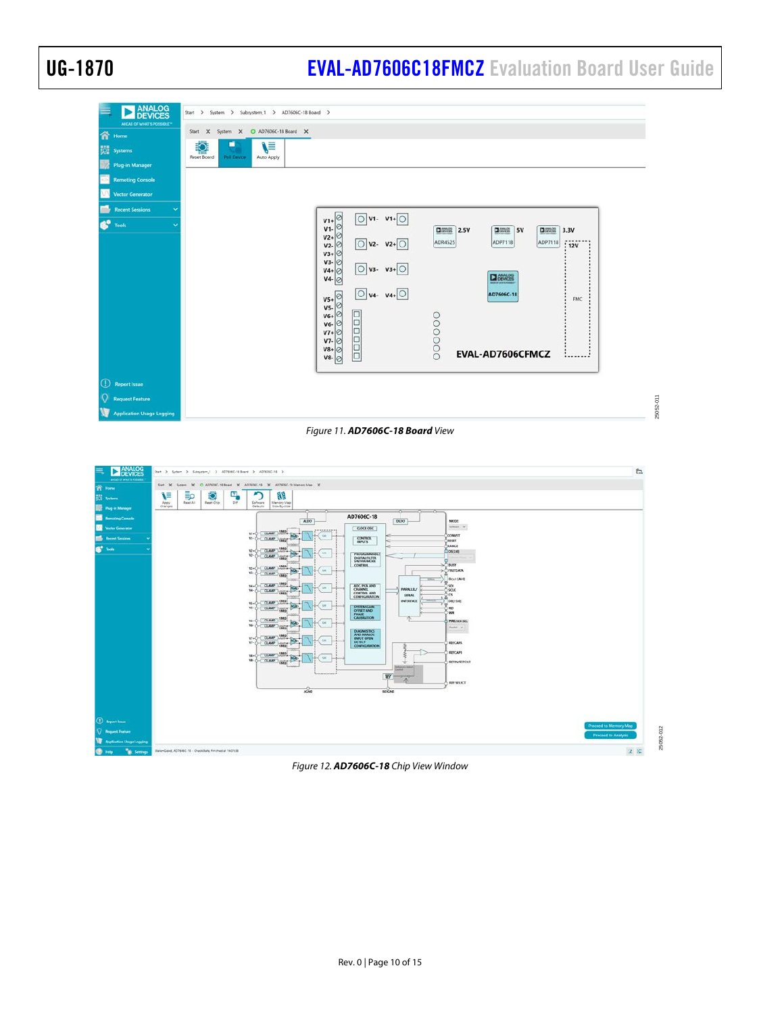# UG-1870 **[EVAL-AD7606C18FMCZ](https://www.analog.com/EVAL-AD7606C-18?doc=EVAL-AD7606C18FMCZ-UG-1870.pdf)** Evaluation Board User Guide

| <b>ANALOG</b><br>DEVICES<br>AHEAD OF WHAT'S POSSIBLE*<br>谷<br>Home<br>嚃<br><b>Systems</b><br>野<br><b>Plug-in Manager</b> | Start > System > Subsystem_1 > AD7606C-18 Board ><br>Start X System X O AD7606C-18 Board X<br>ź<br>\≡<br><b>Neset Board</b><br>Poll Device<br>Auto Apply                                                                                                                                                                                                                                                                                                                                                                                                                                                     |
|--------------------------------------------------------------------------------------------------------------------------|--------------------------------------------------------------------------------------------------------------------------------------------------------------------------------------------------------------------------------------------------------------------------------------------------------------------------------------------------------------------------------------------------------------------------------------------------------------------------------------------------------------------------------------------------------------------------------------------------------------|
| <b>Remoting Console</b>                                                                                                  |                                                                                                                                                                                                                                                                                                                                                                                                                                                                                                                                                                                                              |
| <b>Vector Generator</b><br><b>Recent Sessions</b>                                                                        |                                                                                                                                                                                                                                                                                                                                                                                                                                                                                                                                                                                                              |
| e°<br>Tools                                                                                                              | $v_1 + \circ$<br>$\bigcirc$ V1- V1+ $\bigcirc$<br>$V1-$<br><b>国際盟 2.5V</b><br><b>DIREK 5V</b><br><b>DISHS</b><br>3.3V<br>$v_{2+}$<br>ADP7118<br>$\bigcirc$ v2- v2+ $\bigcirc$<br>ADR4525<br>ADP7118<br>lø<br>$V2-$<br>:12V<br>$V3+$<br>$V_4 + \odot$<br>$V_4 + \odot$<br>$V_4 - \odot$<br>$\overline{O}$ v <sub>3</sub> - v <sub>3</sub> + $\overline{O}$<br>$\overline{O}$ v <sub>4</sub> - v <sub>4</sub> + $\overline{O}$<br><b>DEVICES</b><br>$\frac{V5+}{V5}$<br>AD7606C-18<br>FMC<br>$V6 + C$<br>$V6 - C$<br>$V7 + C$<br>popopo<br>000000<br>$V7 - \emptyset$<br>$V8+$<br>EVAL-AD7606CFMCZ<br>$V8 - Q$ |
| $\bigcirc$<br><b>Report Issue</b>                                                                                        |                                                                                                                                                                                                                                                                                                                                                                                                                                                                                                                                                                                                              |
| O<br><b>Request Feature</b>                                                                                              | 25052-011                                                                                                                                                                                                                                                                                                                                                                                                                                                                                                                                                                                                    |
| <b>Application Usage Logging</b>                                                                                         |                                                                                                                                                                                                                                                                                                                                                                                                                                                                                                                                                                                                              |

### *Figure 11. AD7606C-18 Board View*

<span id="page-9-0"></span>

#### <span id="page-9-1"></span>*Figure 12. AD7606C-18 Chip View Window*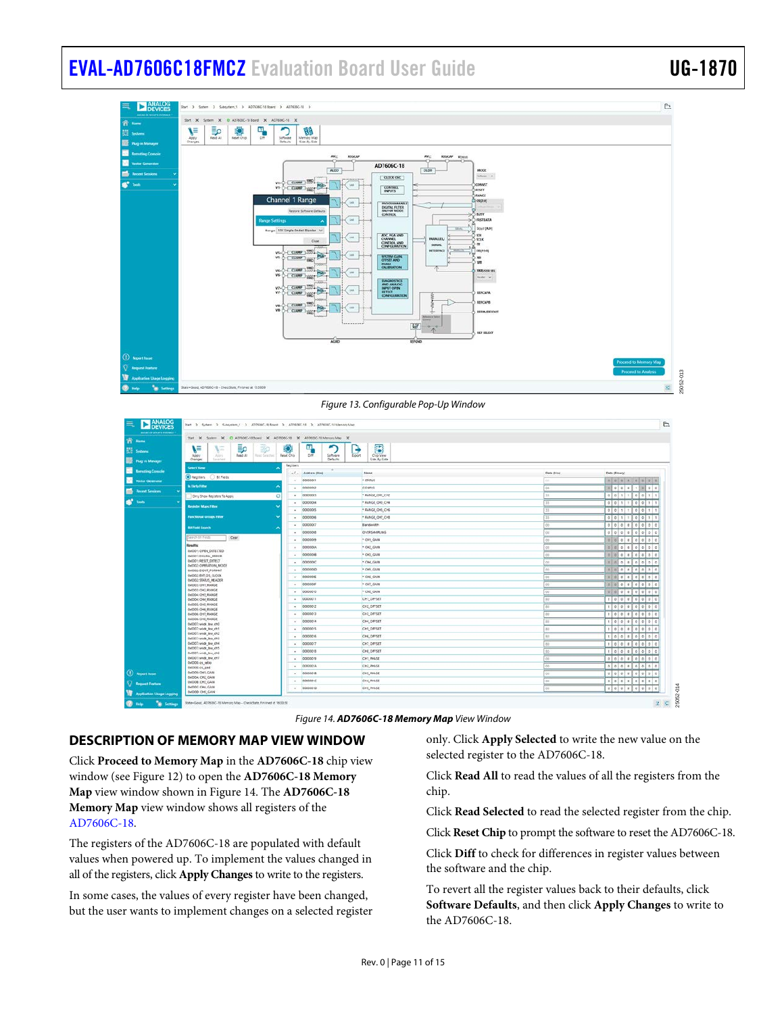

*Figure 13. Configurable Pop-Up Window*

<span id="page-10-1"></span>

| ANTAR OF WAARD INTERNATI         | That X Spiter X O A07606C-18 Speci X AD7606C-18 X AD7606C-18 Memory Map X |                   |                                       |                           |                   |                                     |
|----------------------------------|---------------------------------------------------------------------------|-------------------|---------------------------------------|---------------------------|-------------------|-------------------------------------|
|                                  |                                                                           |                   | п                                     |                           |                   |                                     |
|                                  | ء≣<br>∖≡<br>偏<br>家                                                        | K)                | ۰                                     | B                         |                   |                                     |
| <b>But Plug in Manager</b>       | A005<br>Read All<br>Rest Selected<br>Abbly<br>Cranges<br>Seared           | <b>Reset Chip</b> | D/F<br>Software<br>Export<br>Defaults | Chia View<br>Side-by-Side |                   |                                     |
| <b>Lervoting Console</b>         | <b>Select View</b>                                                        | Registers         |                                       |                           |                   |                                     |
|                                  | C Regales<br><b>D</b> Bit Fields                                          |                   | $+1$ . Address (Hea)                  | Nome                      | <b>Data Blick</b> | Data (Elmany)                       |
| <b>Vestar Germany</b>            | <b><i><b>K</b> Elety Filter</i></b>                                       | the con-          | 00000001                              | * stivitus                |                   | 10001100010000                      |
| <b>Recent Sessions</b>           |                                                                           | ×.                | 00000002                              | CONRG                     |                   | 0 0 0 0 0 0 0                       |
|                                  | $\circ$<br>Only Show Registers To Apply                                   |                   | $- 0000001$                           | * RANGE OH! CHZ           |                   | 101                                 |
|                                  | <b>Recistor Maps Filter:</b>                                              |                   | $- 00000004$                          | * RANGE OVE ON            |                   | 0011<br>0.10                        |
|                                  |                                                                           |                   | $- 0000005$                           | * RANGE, OHS, ONG         |                   | $+ 100111$<br>0.001<br>$\mathbf{1}$ |
|                                  | FARCTIONAL GEORGE FEDER                                                   |                   | $- 00000006$                          | * RANGE_O17_CHS           |                   | 0101111000111                       |
|                                  | <b>Bit Field Search</b>                                                   | $\sim$            | 00000007                              | Bandwidth                 |                   |                                     |
|                                  | Cear<br>Search & F Fields                                                 |                   | $- 00000000$                          | <b>OVERSAMPLING</b>       |                   |                                     |
|                                  | <b>Results:</b>                                                           | $\sim$            | 00000009                              | - OIL GAIN                |                   | 0 0 0 0 0 0                         |
|                                  | 6x000/1 OPEN DETECTED                                                     | $\sim$            | CODODOOA                              | · OIL GMM                 |                   | 0 0 0 0 0 0 0                       |
|                                  | DODD'T DIGITAL ERROR                                                      | $\sim$            | connocce                              | * OHI, GAIN               |                   | 0.121                               |
|                                  | 0x0001 RESET DETECT<br>INDIC: OPERATION, MODE                             | $\sim$            | 00000000                              | * OH, GAIN                |                   | $= 1n$                              |
|                                  | 6x0000 DOUT_FORMAD                                                        |                   | $- 00000000$                          | * OHS, GAIN               |                   |                                     |
|                                  | 0/0002 EVF, 05, 010CK<br>0x0002 STATUS HEADER                             |                   | $-$ 0000000E                          | * OHI GAIN                | œ                 | w<br>100000000                      |
|                                  | <b>GOODS CHI RANGE</b><br>0x0000 OVC RANGE                                |                   | $- 00000009$                          | - OH? GAIN                |                   |                                     |
|                                  | 0x0004; CH3, RANGE                                                        |                   | $-000000'0$                           | * CHS GAIN                |                   |                                     |
|                                  | DIODOR CHA RANGE<br>0x0005 CHS RANGE                                      | $\sim$            | 00000018                              | CHT_OPPSET                |                   | 1.10                                |
|                                  | GLODDS: CHAI, RAINCE                                                      |                   | $- 00000012$                          | CH2 OFFSET                |                   | 0 0 0 0 0 0 0                       |
|                                  | 0x0006. OHT, RANGE<br>DIODDE: CHI) RANGE                                  | ٠                 | 00003013                              | cia arrser                |                   | 0 0 0 0 0 0 0 0 0 0                 |
|                                  | 0x0007; wide_bw.ch0                                                       | in 1              | 00000014                              | CH4_DFFSET                |                   |                                     |
|                                  | 0x0002 wide bw ch1<br>0x0000: usdc_bw_ch2                                 | $\sim$            | conservs.                             | CHS DRISET                |                   | 0.001<br>010                        |
|                                  | biddo: wide_bw_ch3                                                        |                   | $-$ 000000%                           | CHE DIFFET                |                   | 0111000000                          |
|                                  | 0x0002: wide bw ch4<br>0x0002 wide_bw.xh5                                 | $\mathcal{L}$     | 00000017                              | CHT DRISIT                |                   | 01110101010                         |
|                                  | 0x0300; wride_bw_chd.                                                     |                   | $- 00000018$                          | CHI DIFSET                |                   | 10000000000000                      |
|                                  | DIGODO : MIGE_BW_CTT<br>0x0308: cs_ratio                                  | $\sim$            | 00000019                              | CHI PHISE                 |                   |                                     |
|                                  | 0x0308 or pad                                                             |                   | $-$ 00000000                          | CH2, PHASE                |                   |                                     |
| (1) Report Issue                 | 0x0000 OH1 CAIN<br>DIODOA: CH2 GAIN                                       |                   | $-$ 000000 m                          | CH3, PHASE                |                   | 70001700100000                      |
| <b>Q Request Festure</b>         | DIODOB: CHO CASE                                                          | $\sim$            | occosone.                             | CHA PHASE                 |                   |                                     |
| <b>Application Usage Logging</b> | DIODOC: CHK. GAIN<br>0x0000: CHE GAIN                                     |                   | $-$ 000000 $D$                        | CHE, NHASE                |                   | $= 0 0 0 1 0 1 0 0 0 0 0$           |

*Figure 14. AD7606C-18 Memory Map View Window*

## <span id="page-10-2"></span><span id="page-10-0"></span>**DESCRIPTION OF MEMORY MAP VIEW WINDOW**

Click **Proceed to Memory Map** in the **AD7606C-18** chip view window (see [Figure 12\)](#page-9-1) to open the **AD7606C-18 Memory Map** view window shown in [Figure 14.](#page-10-2) The **AD7606C-18 Memory Map** view window shows all registers of the [AD7606C-18.](https://www.analog.com/AD7606C-18?doc=EVAL-AD7606C18FMCZ-ug-1870.pdf)

The registers of the AD7606C-18 are populated with default values when powered up. To implement the values changed in all of the registers, click **Apply Changes** to write to the registers.

In some cases, the values of every register have been changed, but the user wants to implement changes on a selected register only. Click **Apply Selected** to write the new value on the selected register to the AD7606C-18.

Click **Read All** to read the values of all the registers from the chip.

Click **Read Selected** to read the selected register from the chip.

Click **Reset Chip** to prompt the software to reset the AD7606C-18.

Click **Diff** to check for differences in register values between the software and the chip.

To revert all the register values back to their defaults, click **Software Defaults**, and then click **Apply Changes** to write to the AD7606C-18.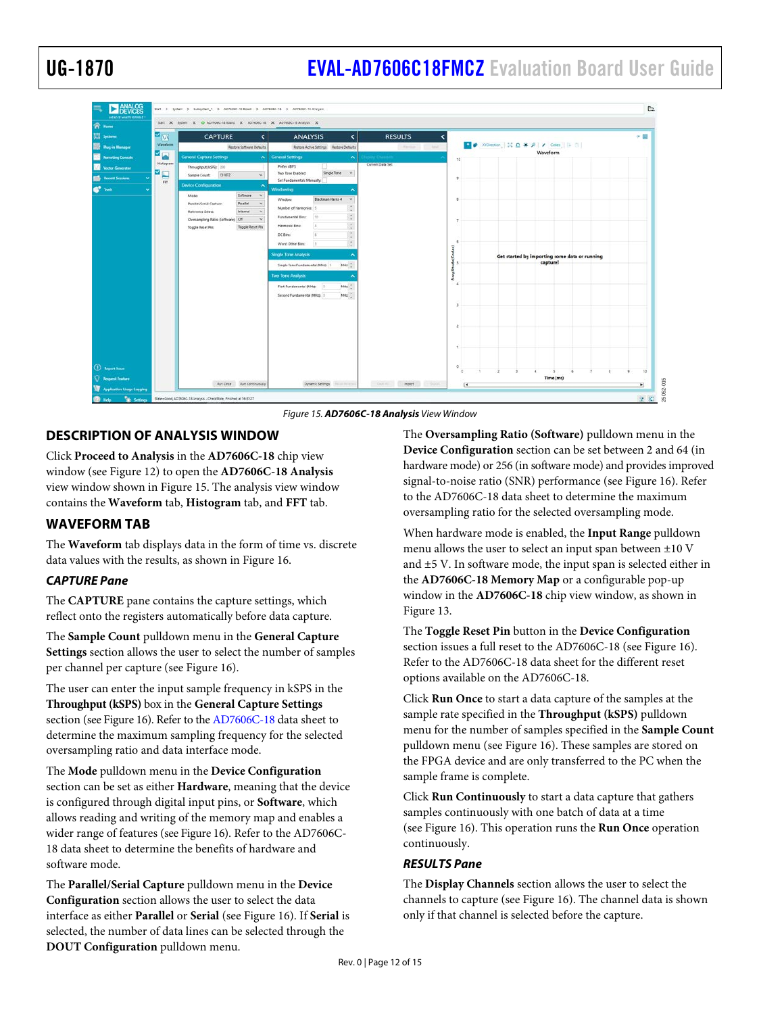# UG-1870 **[EVAL-AD7606C18FMCZ](https://www.analog.com/EVAL-AD7606C-18?doc=EVAL-AD7606C18FMCZ-UG-1870.pdf)** Evaluation Board User Guide

| $\mathbf{z}_\mathrm{w}$                                                   | <b>CAPTURE</b><br>K                                                                                                                                                                                                            | <b>ANALYSIS</b><br>¢                                                                                                                                                                                                                                                                                                                                                                                                                                                   | <b>RESULTS</b><br>$\overline{\phantom{a}}$ |                                                           | ◆国      |
|---------------------------------------------------------------------------|--------------------------------------------------------------------------------------------------------------------------------------------------------------------------------------------------------------------------------|------------------------------------------------------------------------------------------------------------------------------------------------------------------------------------------------------------------------------------------------------------------------------------------------------------------------------------------------------------------------------------------------------------------------------------------------------------------------|--------------------------------------------|-----------------------------------------------------------|---------|
| <b>Vilaveform</b><br><b>The Phag in Manager</b>                           | Restore Software Defaults                                                                                                                                                                                                      | Restore Active Settings Restore Defaults                                                                                                                                                                                                                                                                                                                                                                                                                               | (CAlerton C., And.)                        |                                                           |         |
| Mag<br><b>Remoting Console</b>                                            | <b>General Capture Settings</b>                                                                                                                                                                                                | A General Settings<br>A.                                                                                                                                                                                                                                                                                                                                                                                                                                               | play Channel                               | Waveform<br>10                                            |         |
| Histogram<br>Vector Generator<br>×.<br><b>Collection Services</b><br>FFT. | Throughput (kSPS): 200<br>131072<br>Sample Count:<br>$\mathbf{v}$<br>Device Configuration<br>۰                                                                                                                                 | Prefer dBFS<br>Single Tone<br>$-19$<br>Two Tone Enabled:<br>Set Fundamentals Manualty:                                                                                                                                                                                                                                                                                                                                                                                 | Current Data Set:                          |                                                           |         |
|                                                                           | Software<br>Made:<br>$\omega$<br>Patallel<br><b>RarateUSerial Capture</b><br>$\omega$<br><b>Internal</b><br>$\sim$<br><b>Itelerence Select:</b><br>Oversampling Ratio (Software); Cff<br>Topgle Reset Pin<br>Toggle Reset Pin: | Windowing<br><b>Blackman Harris 4</b><br>Window:<br>$\sim$<br>$\sim$<br>Number of Harmonics: 5<br>×<br>$\sim$<br>Fundamental Bins:<br>30<br>٠<br>$\sim$<br>Harmsric Bits:<br>$\ddot{\phantom{1}}$<br>G.<br>DC Bins:<br>$\sim$<br>$\sim$<br>Worst Other Bins:<br>Гš<br>$\sim$<br><b>Single Tone Analysis</b><br>104<br>Single Tone Fundamental (MHz) 0<br><b>Two Tone Analysis</b><br>104<br>First Fundamental (MHz)<br>1a<br><b>NHz</b><br>Second Fundamental (MHz): 0 |                                            | Get started by importing some data or running<br>capture! |         |
| (1) Report Stone<br>Request Feature                                       | <b>Run Once Run Continuously</b>                                                                                                                                                                                               | Dynamic Settings From Annual                                                                                                                                                                                                                                                                                                                                                                                                                                           | Control Mont Control                       | $\circ$<br>Time (ms)<br>ஈ                                 | 10<br>≖ |

*Figure 15. AD7606C-18 Analysis View Window*

## <span id="page-11-2"></span><span id="page-11-0"></span>**DESCRIPTION OF ANALYSIS WINDOW**

Click **Proceed to Analysis** in the **AD7606C-18** chip view window (see [Figure 12\)](#page-9-1) to open the **AD7606C-18 Analysis** view window shown in [Figure 15.](#page-11-2) The analysis view window contains the **Waveform** tab, **Histogram** tab, and **FFT** tab.

### <span id="page-11-1"></span>**WAVEFORM TAB**

The **Waveform** tab displays data in the form of time vs. discrete data values with the results, as shown i[n Figure 16.](#page-13-0)

### *CAPTURE Pane*

The **CAPTURE** pane contains the capture settings, which reflect onto the registers automatically before data capture.

The **Sample Count** pulldown menu in the **General Capture Settings** section allows the user to select the number of samples per channel per capture (se[e Figure 16\)](#page-13-0).

The user can enter the input sample frequency in kSPS in the **Throughput (kSPS)** box in the **General Capture Settings** section (se[e Figure 16\)](#page-13-0). Refer to th[e AD7606C-18](https://www.analog.com/AD7606C-18?doc=EVAL-AD7606C18FMCZ-ug-1870.pdf) data sheet to determine the maximum sampling frequency for the selected oversampling ratio and data interface mode.

The **Mode** pulldown menu in the **Device Configuration** section can be set as either **Hardware**, meaning that the device is configured through digital input pins, or **Software**, which allows reading and writing of the memory map and enables a wider range of features (se[e Figure 16\)](#page-13-0). Refer to the AD7606C-18 data sheet to determine the benefits of hardware and software mode.

The **Parallel/Serial Capture** pulldown menu in the **Device Configuration** section allows the user to select the data interface as either **Parallel** or **Serial** (se[e Figure 16\)](#page-13-0). If **Serial** is selected, the number of data lines can be selected through the **DOUT Configuration** pulldown menu.

The **Oversampling Ratio (Software)** pulldown menu in the **Device Configuration** section can be set between 2 and 64 (in hardware mode) or 256 (in software mode) and provides improved signal-to-noise ratio (SNR) performance (se[e Figure 16\)](#page-13-0). Refer to the AD7606C-18 data sheet to determine the maximum oversampling ratio for the selected oversampling mode.

When hardware mode is enabled, the **Input Range** pulldown menu allows the user to select an input span between ±10 V and ±5 V. In software mode, the input span is selected either in the **AD7606C-18 Memory Map** or a configurable pop-up window in the **AD7606C-18** chip view window, as shown in [Figure 13.](#page-10-1)

The **Toggle Reset Pin** button in the **Device Configuration** section issues a full reset to the AD7606C-18 (se[e Figure 16\)](#page-13-0). Refer to the AD7606C-18 data sheet for the different reset options available on the AD7606C-18.

Click **Run Once** to start a data capture of the samples at the sample rate specified in the **Throughput (kSPS)** pulldown menu for the number of samples specified in the **Sample Count** pulldown menu (see [Figure 16\)](#page-13-0). These samples are stored on the FPGA device and are only transferred to the PC when the sample frame is complete.

Click **Run Continuously** to start a data capture that gathers samples continuously with one batch of data at a time (see [Figure 16\)](#page-13-0). This operation runs the **Run Once** operation continuously.

### *RESULTS Pane*

The **Display Channels** section allows the user to select the channels to capture (se[e Figure 16\)](#page-13-0). The channel data is shown only if that channel is selected before the capture.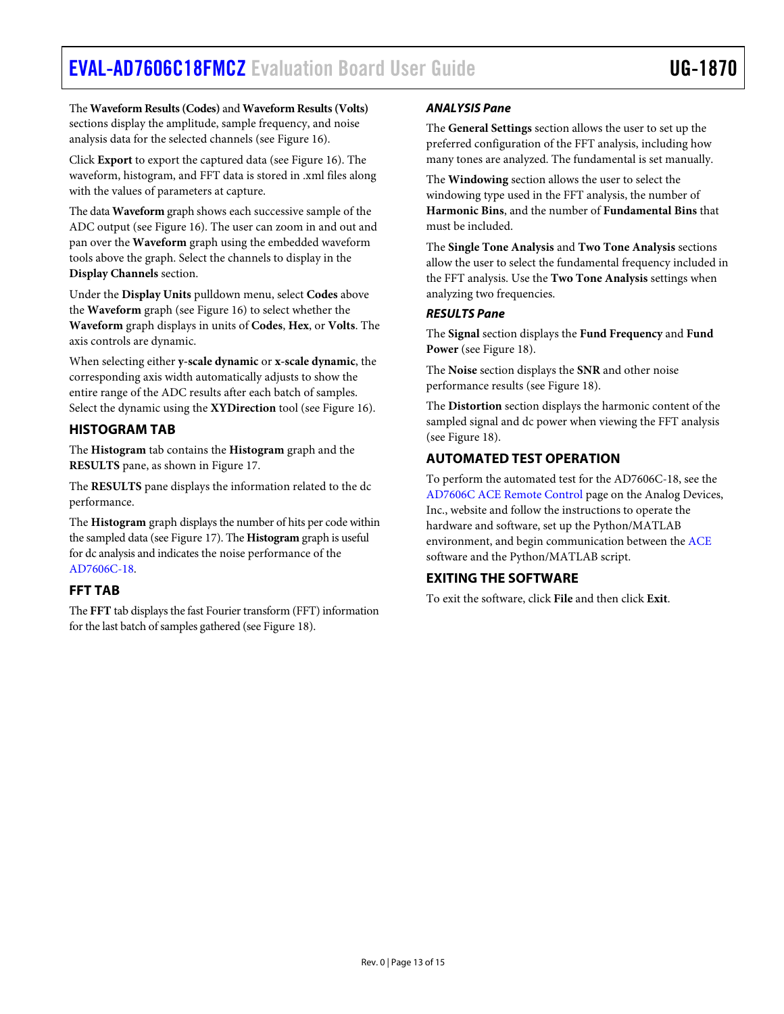The **Waveform Results(Codes)** and **Waveform Results(Volts)** sections display the amplitude, sample frequency, and noise analysis data for the selected channels (se[e Figure 16\)](#page-13-0).

Click **Export** to export the captured data (see [Figure 16\)](#page-13-0). The waveform, histogram, and FFT data is stored in .xml files along with the values of parameters at capture.

The data **Waveform** graph shows each successive sample of the ADC output (see [Figure 16\)](#page-13-0). The user can zoom in and out and pan over the **Waveform** graph using the embedded waveform tools above the graph. Select the channels to display in the **Display Channels** section.

Under the **Display Units** pulldown menu, select **Codes** above the **Waveform** graph (see [Figure 16\)](#page-13-0) to select whether the **Waveform** graph displays in units of **Codes**, **Hex**, or **Volts**. The axis controls are dynamic.

When selecting either **y-scale dynamic** or **x-scale dynamic**, the corresponding axis width automatically adjusts to show the entire range of the ADC results after each batch of samples. Select the dynamic using the **XYDirection** tool (see [Figure 16\)](#page-13-0).

# <span id="page-12-0"></span>**HISTOGRAM TAB**

The **Histogram** tab contains the **Histogram** graph and the **RESULTS** pane, as shown i[n Figure 17.](#page-13-1)

The **RESULTS** pane displays the information related to the dc performance.

The **Histogram** graph displays the number of hits per code within the sampled data (se[e Figure 17\)](#page-13-1). The **Histogram** graph is useful for dc analysis and indicates the noise performance of the [AD7606C-18.](https://www.analog.com/AD7606C-18?doc=EVAL-AD7606C18FMCZ-ug-1870.pdf)

## <span id="page-12-1"></span>**FFT TAB**

The **FFT** tab displays the fast Fourier transform (FFT) information for the last batch of samples gathered (se[e Figure 18\)](#page-14-0).

## *ANALYSIS Pane*

The **General Settings** section allows the user to set up the preferred configuration of the FFT analysis, including how many tones are analyzed. The fundamental is set manually.

The **Windowing** section allows the user to select the windowing type used in the FFT analysis, the number of **Harmonic Bins**, and the number of **Fundamental Bins** that must be included.

The **Single Tone Analysis** and **Two Tone Analysis** sections allow the user to select the fundamental frequency included in the FFT analysis. Use the **Two Tone Analysis** settings when analyzing two frequencies.

## *RESULTS Pane*

The **Signal** section displays the **Fund Frequency** and **Fund Power** (se[e Figure 18\)](#page-14-0).

The **Noise** section displays the **SNR** and other noise performance results (see [Figure 18\)](#page-14-0).

The **Distortion** section displays the harmonic content of the sampled signal and dc power when viewing the FFT analysis (see [Figure 18\)](#page-14-0).

# <span id="page-12-2"></span>**AUTOMATED TEST OPERATION**

To perform the automated test for the AD7606C-18, see the [AD7606C ACE Remote Control](https://wiki.analog.com/resources/tools-software/ace/ad7606c-remotecontrol) page on the Analog Devices, Inc., website and follow the instructions to operate the hardware and software, set up the Python/MATLAB environment, and begin communication between th[e ACE](https://www.analog.com/ace?doc=EVAL-AD7606C18FMCZ-ug-1870.pdf) software and the Python/MATLAB script.

# <span id="page-12-3"></span>**EXITING THE SOFTWARE**

To exit the software, click **File** and then click **Exit**.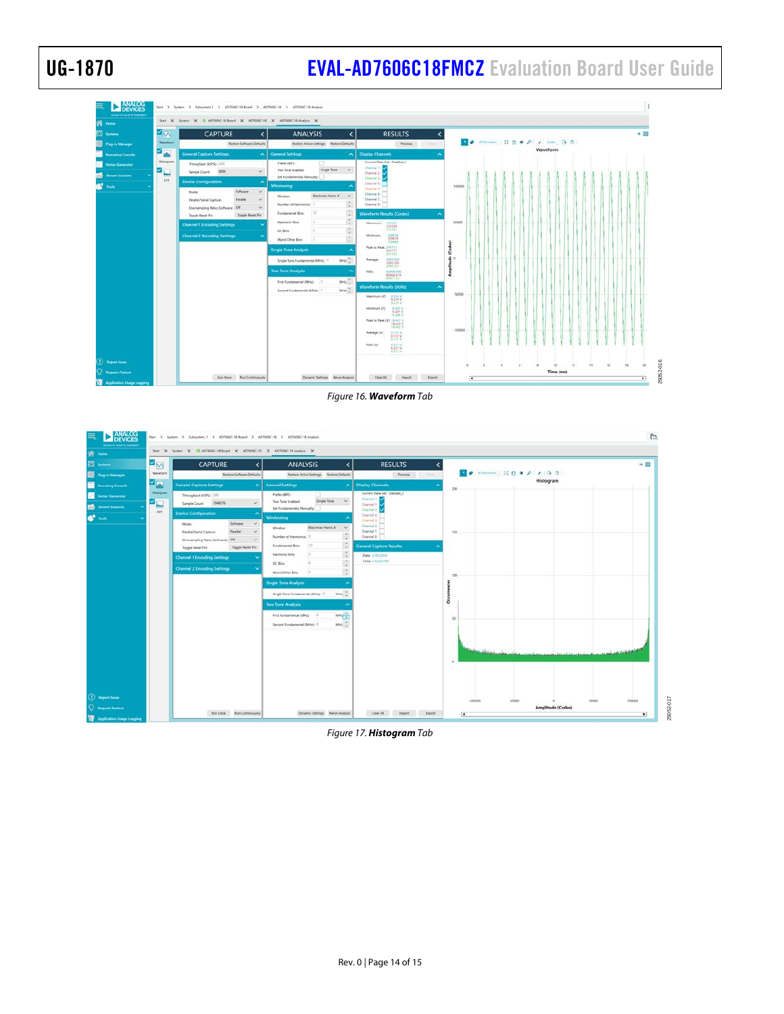# UG-1870 **[EVAL-AD7606C18FMCZ](https://www.analog.com/EVAL-AD7606C-18?doc=EVAL-AD7606C18FMCZ-UG-1870.pdf)** Evaluation Board User Guide



*Figure 16. Waveform Tab*

<span id="page-13-0"></span>

<span id="page-13-1"></span>*Figure 17. Histogram Tab*